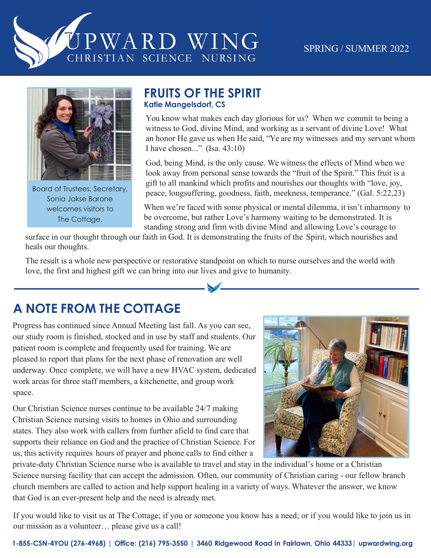



Board of Trustees, Secretary, Sonia Jakse Barone welcomes visitors to The Cottage.

#### **FRUITS OF THE SPIRIT Katie Mangelsdorf, CS**

You know what makes each day glorious for us? When we commit to being a witness to God, divine Mind, and working as a servant of divine Love! What an honor He gave us when He said, "Ye are my witnesses and my servant whom I have chosen..." (Isa. 43:10)

God, being Mind, is the only cause. We witness the effects of Mind when we look away from personal sense towards the "fruit of the Spirit." This fruit is a gift to all mankind which profits and nourishes our thoughts with "love, joy, peace, longsuffering, goodness, faith, meekness, temperance." (Gal. 5:22,23)

When we're faced with some physical or mental dilemma, it isn't inharmony to be overcome, but rather Love's harmony waiting to be demonstrated. It is standing strong and firm with divine Mind and allowing Love's courage to

surface in our thought through our faith in God. It is demonstrating the fruits of the Spirit, which nourishes and heals our thoughts.

The result is a whole new perspective or restorative standpoint on which to nurse ourselves and the world with love, the first and highest gift we can bring into our lives and give to humanity.

**Katie Mangelsdorf, CS**

# **A NOTE FROM THE COTTAGE**

Progress has continued since Annual Meeting last fall. As you can see, our study room is finished, stocked and in use by staff and students. Our patient room is complete and frequently used for training. We are pleased to report that plans for the next phase of renovation are well  $\left(\frac{1}{2}, \frac{1}{2}\right)$ underway. Once complete, we will have a new HVAC system, dedicated work areas for three staff members, a kitchenette, and group work space.

Our Christian Science nurses continue to be available 24/7 making Christian Science nursing visits to homes in Ohio and surrounding states. They also work with callers from further afield to find care that supports their reliance on God and the practice of Christian Science. For us, this activity requires hours of prayer and phone calls to find either a



private-duty Christian Science nurse who is available to travel and stay in the individual's home or a Christian Science nursing facility that can accept the admission. Often, our community of Christian caring - our fellow branch church members are called to action and help support healing in a variety of ways. Whatever the answer, we know that God is an ever-present help and the need is already met.

If you would like to visit us at The Cottage; if you or someone you know has a need; or if you would like to join us in our mission as a volunteer… please give us a call!  $\frac{1}{1}$